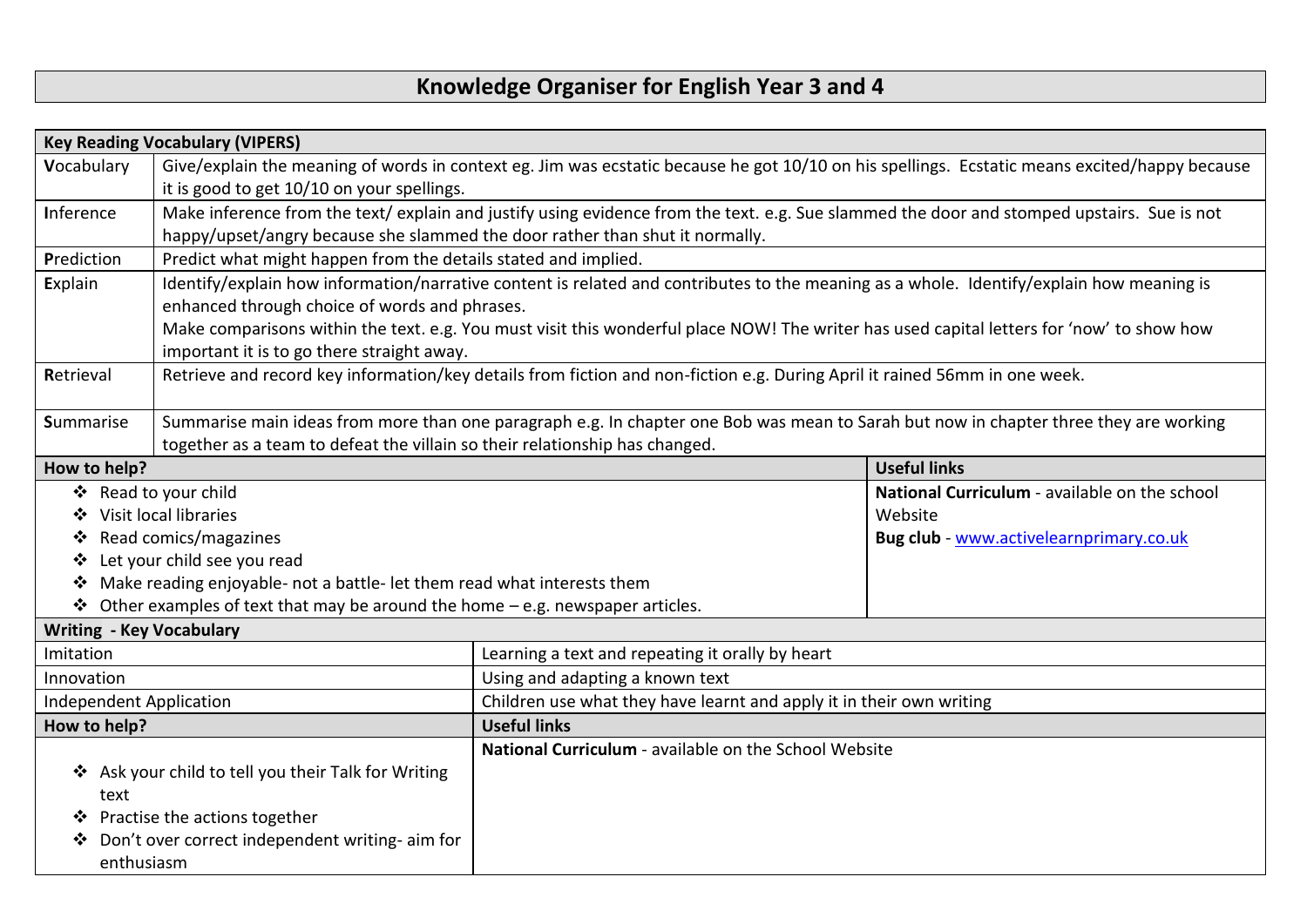## **Knowledge Organiser for English Year 3 and 4**

| <b>Key Reading Vocabulary (VIPERS)</b>                                                                                                  |                                                                                                                                       |                                                                                                                                               |                                               |  |
|-----------------------------------------------------------------------------------------------------------------------------------------|---------------------------------------------------------------------------------------------------------------------------------------|-----------------------------------------------------------------------------------------------------------------------------------------------|-----------------------------------------------|--|
| Vocabulary                                                                                                                              |                                                                                                                                       | Give/explain the meaning of words in context eg. Jim was ecstatic because he got 10/10 on his spellings. Ecstatic means excited/happy because |                                               |  |
|                                                                                                                                         | it is good to get 10/10 on your spellings.                                                                                            |                                                                                                                                               |                                               |  |
| Inference                                                                                                                               |                                                                                                                                       | Make inference from the text/ explain and justify using evidence from the text. e.g. Sue slammed the door and stomped upstairs. Sue is not    |                                               |  |
|                                                                                                                                         | happy/upset/angry because she slammed the door rather than shut it normally.                                                          |                                                                                                                                               |                                               |  |
| Prediction                                                                                                                              | Predict what might happen from the details stated and implied.                                                                        |                                                                                                                                               |                                               |  |
| Explain                                                                                                                                 |                                                                                                                                       | Identify/explain how information/narrative content is related and contributes to the meaning as a whole. Identify/explain how meaning is      |                                               |  |
| enhanced through choice of words and phrases.                                                                                           |                                                                                                                                       |                                                                                                                                               |                                               |  |
|                                                                                                                                         |                                                                                                                                       | Make comparisons within the text. e.g. You must visit this wonderful place NOW! The writer has used capital letters for 'now' to show how     |                                               |  |
| important it is to go there straight away.                                                                                              |                                                                                                                                       |                                                                                                                                               |                                               |  |
| Retrieve and record key information/key details from fiction and non-fiction e.g. During April it rained 56mm in one week.<br>Retrieval |                                                                                                                                       |                                                                                                                                               |                                               |  |
|                                                                                                                                         |                                                                                                                                       |                                                                                                                                               |                                               |  |
| <b>Summarise</b>                                                                                                                        | Summarise main ideas from more than one paragraph e.g. In chapter one Bob was mean to Sarah but now in chapter three they are working |                                                                                                                                               |                                               |  |
| together as a team to defeat the villain so their relationship has changed.                                                             |                                                                                                                                       |                                                                                                                                               |                                               |  |
| How to help?                                                                                                                            |                                                                                                                                       |                                                                                                                                               | <b>Useful links</b>                           |  |
| ❖ Read to your child                                                                                                                    |                                                                                                                                       |                                                                                                                                               | National Curriculum - available on the school |  |
| Visit local libraries<br>❖                                                                                                              |                                                                                                                                       |                                                                                                                                               | Website                                       |  |
| Read comics/magazines<br>❖                                                                                                              |                                                                                                                                       |                                                                                                                                               | Bug club - www.activelearnprimary.co.uk       |  |
| Let your child see you read<br>❖                                                                                                        |                                                                                                                                       |                                                                                                                                               |                                               |  |
| ❖                                                                                                                                       | Make reading enjoyable- not a battle- let them read what interests them                                                               |                                                                                                                                               |                                               |  |
| $\cdot$ Other examples of text that may be around the home – e.g. newspaper articles.                                                   |                                                                                                                                       |                                                                                                                                               |                                               |  |
| <b>Writing - Key Vocabulary</b>                                                                                                         |                                                                                                                                       |                                                                                                                                               |                                               |  |
| Imitation                                                                                                                               |                                                                                                                                       | Learning a text and repeating it orally by heart                                                                                              |                                               |  |
| Innovation                                                                                                                              |                                                                                                                                       | Using and adapting a known text                                                                                                               |                                               |  |
| Independent Application                                                                                                                 |                                                                                                                                       | Children use what they have learnt and apply it in their own writing                                                                          |                                               |  |
| How to help?                                                                                                                            |                                                                                                                                       | <b>Useful links</b>                                                                                                                           |                                               |  |
|                                                                                                                                         |                                                                                                                                       | National Curriculum - available on the School Website                                                                                         |                                               |  |
| ❖ Ask your child to tell you their Talk for Writing                                                                                     |                                                                                                                                       |                                                                                                                                               |                                               |  |
| text                                                                                                                                    |                                                                                                                                       |                                                                                                                                               |                                               |  |
|                                                                                                                                         | Practise the actions together                                                                                                         |                                                                                                                                               |                                               |  |
| Don't over correct independent writing- aim for                                                                                         |                                                                                                                                       |                                                                                                                                               |                                               |  |
| enthusiasm                                                                                                                              |                                                                                                                                       |                                                                                                                                               |                                               |  |